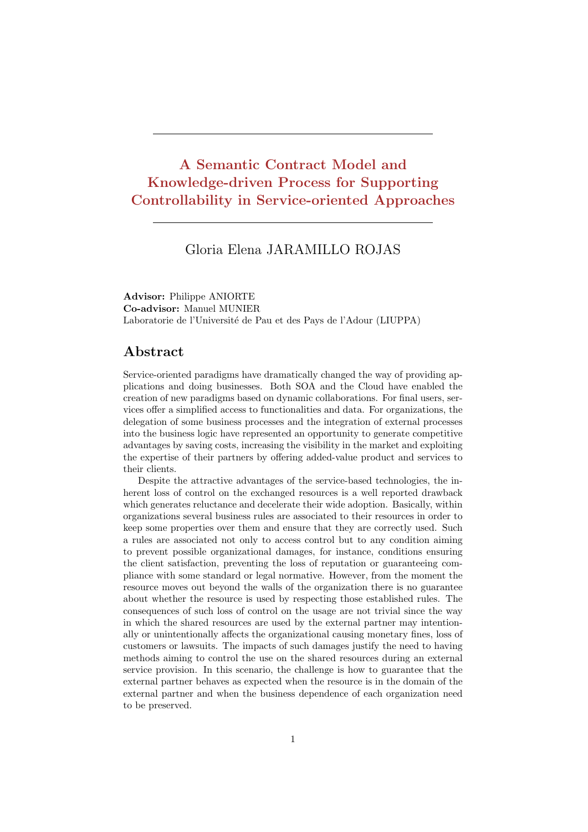## A Semantic Contract Model and Knowledge-driven Process for Supporting Controllability in Service-oriented Approaches

## Gloria Elena JARAMILLO ROJAS

Advisor: Philippe ANIORTE Co-advisor: Manuel MUNIER Laboratorie de l'Université de Pau et des Pays de l'Adour (LIUPPA)

## Abstract

Service-oriented paradigms have dramatically changed the way of providing applications and doing businesses. Both SOA and the Cloud have enabled the creation of new paradigms based on dynamic collaborations. For final users, services offer a simplified access to functionalities and data. For organizations, the delegation of some business processes and the integration of external processes into the business logic have represented an opportunity to generate competitive advantages by saving costs, increasing the visibility in the market and exploiting the expertise of their partners by offering added-value product and services to their clients.

Despite the attractive advantages of the service-based technologies, the inherent loss of control on the exchanged resources is a well reported drawback which generates reluctance and decelerate their wide adoption. Basically, within organizations several business rules are associated to their resources in order to keep some properties over them and ensure that they are correctly used. Such a rules are associated not only to access control but to any condition aiming to prevent possible organizational damages, for instance, conditions ensuring the client satisfaction, preventing the loss of reputation or guaranteeing compliance with some standard or legal normative. However, from the moment the resource moves out beyond the walls of the organization there is no guarantee about whether the resource is used by respecting those established rules. The consequences of such loss of control on the usage are not trivial since the way in which the shared resources are used by the external partner may intentionally or unintentionally affects the organizational causing monetary fines, loss of customers or lawsuits. The impacts of such damages justify the need to having methods aiming to control the use on the shared resources during an external service provision. In this scenario, the challenge is how to guarantee that the external partner behaves as expected when the resource is in the domain of the external partner and when the business dependence of each organization need to be preserved.